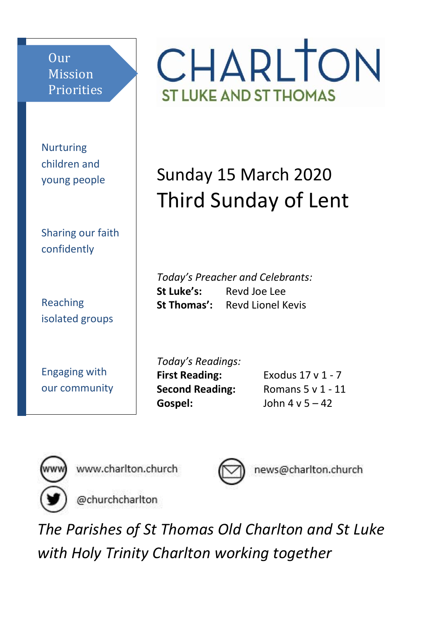Our Mission Priorities

Nurturing children and young people

Sharing our faith confidently

Reaching isolated groups

Engaging with our community CHARLTON **ST LUKE AND ST THOMAS** 

# Sunday 15 March 2020 Third Sunday of Lent

*Today's Preacher and Celebrants:* **St Luke's:** Revd Joe Lee **St Thomas':** Revd Lionel Kevis

*Today's Readings:* **First Reading:** Exodus 17 v 1 - 7 **Gospel:** John 4 v 5 – 42

**Second Reading:** Romans 5 v 1 - 11



www.charlton.church



news@charlton.church

@churchcharlton

*The Parishes of St Thomas Old Charlton and St Luke with Holy Trinity Charlton working together*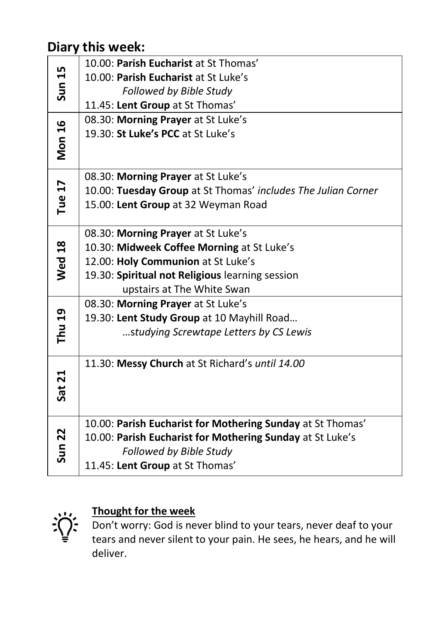# **Diary this week:**

| <b>Sun 15</b> | 10.00: Parish Eucharist at St Thomas'                         |
|---------------|---------------------------------------------------------------|
|               | 10.00: Parish Eucharist at St Luke's                          |
|               | Followed by Bible Study                                       |
|               | 11.45: Lent Group at St Thomas'                               |
| <b>Mon 16</b> | 08.30: Morning Prayer at St Luke's                            |
|               | 19.30: St Luke's PCC at St Luke's                             |
|               |                                                               |
|               |                                                               |
| Tue 17        | 08.30: Morning Prayer at St Luke's                            |
|               | 10.00: Tuesday Group at St Thomas' includes The Julian Corner |
|               | 15.00: Lent Group at 32 Weyman Road                           |
|               |                                                               |
| <b>Wed 18</b> | 08.30: Morning Prayer at St Luke's                            |
|               | 10.30: Midweek Coffee Morning at St Luke's                    |
|               | 12.00: Holy Communion at St Luke's                            |
|               | 19.30: Spiritual not Religious learning session               |
|               | upstairs at The White Swan                                    |
| Thu 19        | 08.30: Morning Prayer at St Luke's                            |
|               | 19.30: Lent Study Group at 10 Mayhill Road                    |
|               | studying Screwtape Letters by CS Lewis                        |
|               |                                                               |
|               | 11.30: Messy Church at St Richard's until 14.00               |
| Sat 21        |                                                               |
|               |                                                               |
|               |                                                               |
| <b>Sun 22</b> | 10.00: Parish Eucharist for Mothering Sunday at St Thomas'    |
|               | 10.00: Parish Eucharist for Mothering Sunday at St Luke's     |
|               | Followed by Bible Study                                       |
|               | 11.45: Lent Group at St Thomas'                               |



## **Thought for the week**

Don't worry: God is never blind to your tears, never deaf to your tears and never silent to your pain. He sees, he hears, and he will deliver.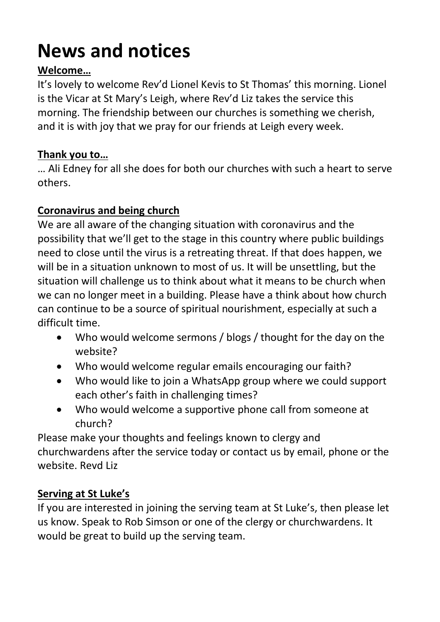# **News and notices**

## **Welcome…**

It's lovely to welcome Rev'd Lionel Kevis to St Thomas' this morning. Lionel is the Vicar at St Mary's Leigh, where Rev'd Liz takes the service this morning. The friendship between our churches is something we cherish, and it is with joy that we pray for our friends at Leigh every week.

#### **Thank you to…**

… Ali Edney for all she does for both our churches with such a heart to serve others.

## **Coronavirus and being church**

We are all aware of the changing situation with coronavirus and the possibility that we'll get to the stage in this country where public buildings need to close until the virus is a retreating threat. If that does happen, we will be in a situation unknown to most of us. It will be unsettling, but the situation will challenge us to think about what it means to be church when we can no longer meet in a building. Please have a think about how church can continue to be a source of spiritual nourishment, especially at such a difficult time.

- Who would welcome sermons / blogs / thought for the day on the website?
- Who would welcome regular emails encouraging our faith?
- Who would like to join a WhatsApp group where we could support each other's faith in challenging times?
- Who would welcome a supportive phone call from someone at church?

Please make your thoughts and feelings known to clergy and churchwardens after the service today or contact us by email, phone or the website. Revd Liz

#### **Serving at St Luke's**

If you are interested in joining the serving team at St Luke's, then please let us know. Speak to Rob Simson or one of the clergy or churchwardens. It would be great to build up the serving team.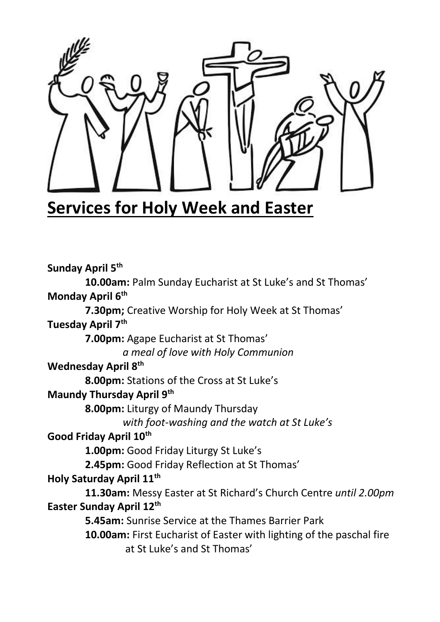

# **Services for Holy Week and Easter**

**Sunday April 5 th 10.00am:** Palm Sunday Eucharist at St Luke's and St Thomas' **Monday April 6th 7.30pm;** Creative Worship for Holy Week at St Thomas' **Tuesday April 7th 7.00pm:** Agape Eucharist at St Thomas' *a meal of love with Holy Communion* **Wednesday April 8th 8.00pm:** Stations of the Cross at St Luke's **Maundy Thursday April 9th 8.00pm:** Liturgy of Maundy Thursday *with foot-washing and the watch at St Luke's* **Good Friday April 10th 1.00pm:** Good Friday Liturgy St Luke's **2.45pm:** Good Friday Reflection at St Thomas' **Holy Saturday April 11th 11.30am:** Messy Easter at St Richard's Church Centre *until 2.00pm* **Easter Sunday April 12th 5.45am:** Sunrise Service at the Thames Barrier Park **10.00am:** First Eucharist of Easter with lighting of the paschal fire at St Luke's and St Thomas'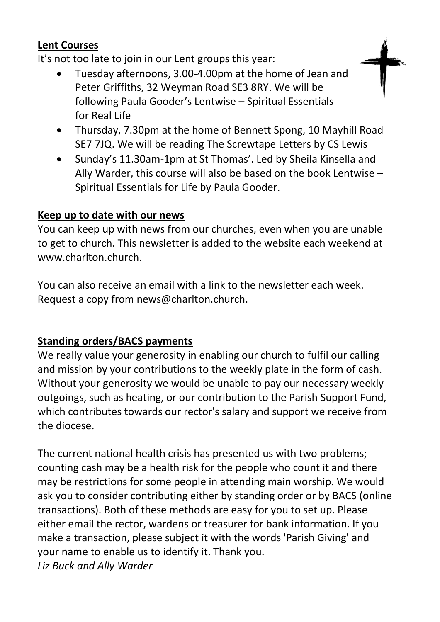#### **Lent Courses**

It's not too late to join in our Lent groups this year:

- Tuesday afternoons, 3.00-4.00pm at the home of Jean and Peter Griffiths, 32 Weyman Road SE3 8RY. We will be following Paula Gooder's Lentwise – Spiritual Essentials for Real Life
- Thursday, 7.30pm at the home of Bennett Spong, 10 Mayhill Road SE7 7JQ. We will be reading The Screwtape Letters by CS Lewis
- Sunday's 11.30am-1pm at St Thomas'. Led by Sheila Kinsella and Ally Warder, this course will also be based on the book Lentwise – Spiritual Essentials for Life by Paula Gooder.

#### **Keep up to date with our news**

You can keep up with news from our churches, even when you are unable to get to church. This newsletter is added to the website each weekend at www.charlton.church.

You can also receive an email with a link to the newsletter each week. Request a copy from news@charlton.church.

#### **Standing orders/BACS payments**

We really value your generosity in enabling our church to fulfil our calling and mission by your contributions to the weekly plate in the form of cash. Without your generosity we would be unable to pay our necessary weekly outgoings, such as heating, or our contribution to the Parish Support Fund, which contributes towards our rector's salary and support we receive from the diocese.

The current national health crisis has presented us with two problems; counting cash may be a health risk for the people who count it and there may be restrictions for some people in attending main worship. We would ask you to consider contributing either by standing order or by BACS (online transactions). Both of these methods are easy for you to set up. Please either email the rector, wardens or treasurer for bank information. If you make a transaction, please subject it with the words 'Parish Giving' and your name to enable us to identify it. Thank you. *Liz Buck and Ally Warder*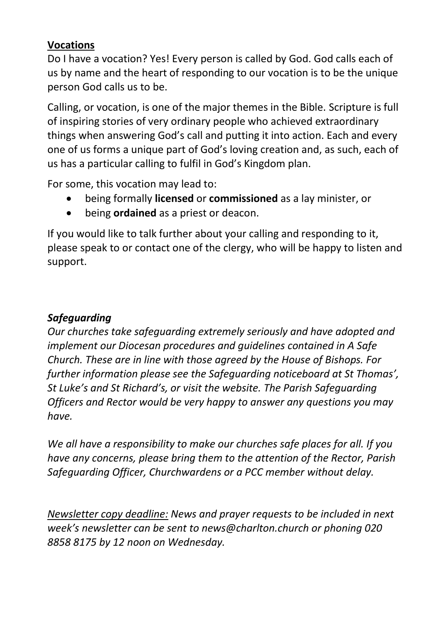#### **Vocations**

Do I have a vocation? Yes! Every person is called by God. God calls each of us by name and the heart of responding to our vocation is to be the unique person God calls us to be.

Calling, or vocation, is one of the major themes in the Bible. Scripture is full of inspiring stories of very ordinary people who achieved extraordinary things when answering God's call and putting it into action. Each and every one of us forms a unique part of God's loving creation and, as such, each of us has a particular calling to fulfil in God's Kingdom plan.

For some, this vocation may lead to:

- being formally **licensed** or **commissioned** as a lay minister, or
- being **ordained** as a priest or deacon.

If you would like to talk further about your calling and responding to it, please speak to or contact one of the clergy, who will be happy to listen and support.

## *Safeguarding*

*Our churches take safeguarding extremely seriously and have adopted and implement our Diocesan procedures and guidelines contained in A Safe Church. These are in line with those agreed by the House of Bishops. For further information please see the Safeguarding noticeboard at St Thomas', St Luke's and St Richard's, or visit the website. The Parish Safeguarding Officers and Rector would be very happy to answer any questions you may have.*

*We all have a responsibility to make our churches safe places for all. If you have any concerns, please bring them to the attention of the Rector, Parish Safeguarding Officer, Churchwardens or a PCC member without delay.*

*Newsletter copy deadline: News and prayer requests to be included in next week's newsletter can be sent to news@charlton.church or phoning 020 8858 8175 by 12 noon on Wednesday.*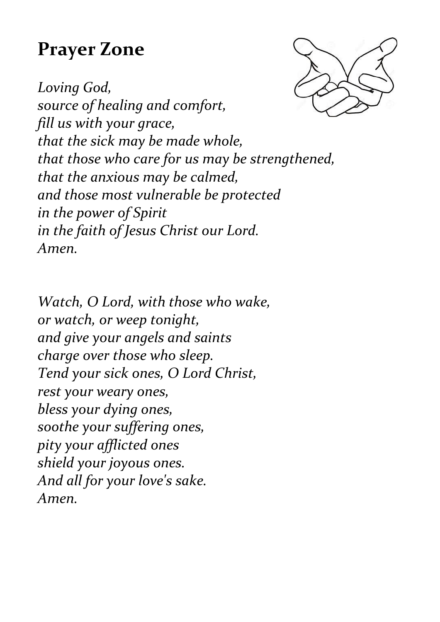# **Prayer Zone**



*Loving God, source of healing and comfort, fill us with your grace, that the sick may be made whole, that those who care for us may be strengthened, that the anxious may be calmed, and those most vulnerable be protected in the power of Spirit in the faith of Jesus Christ our Lord. Amen.*

*Watch, O Lord, with those who wake, or watch, or weep tonight, and give your angels and saints charge over those who sleep. Tend your sick ones, O Lord Christ, rest your weary ones, bless your dying ones, soothe your suffering ones, pity your afflicted ones shield your joyous ones. And all for your love's sake. Amen.*